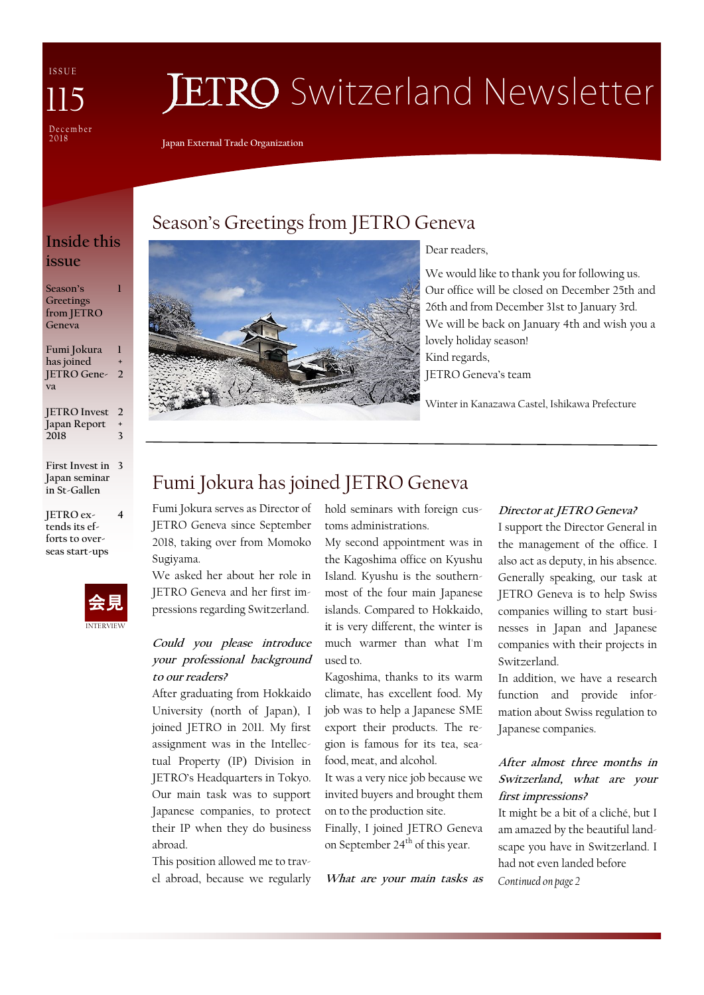I S S U E December 2 0 1 8 115

# **JETRO** Switzerland Newsletter

**Japan External Trade Organization**

### **Inside this issue**

**1**

**Season's Greetings from JETRO Geneva**

**Fumi Jokura has joined JETRO Gene-2 va 1 +**

**JETRO Invest 2 Japan Report 2018 + 3**

**First Invest in 3 Japan seminar in St-Gallen**

**JETRO extends its efforts to overseas start-ups** 



**4**

## Season's Greetings from JETRO Geneva



Dear readers,

We would like to thank you for following us. Our office will be closed on December 25th and 26th and from December 31st to January 3rd. We will be back on January 4th and wish you a lovely holiday season! Kind regards,

JETRO Geneva's team

Winter in Kanazawa Castel, Ishikawa Prefecture

# Fumi Jokura has joined JETRO Geneva

Fumi Jokura serves as Director of JETRO Geneva since September 2018, taking over from Momoko Sugiyama.

We asked her about her role in JETRO Geneva and her first impressions regarding Switzerland.

### **Could you please introduce your professional background to our readers?**

After graduating from Hokkaido University (north of Japan), I joined JETRO in 2011. My first assignment was in the Intellectual Property (IP) Division in JETRO's Headquarters in Tokyo. Our main task was to support Japanese companies, to protect their IP when they do business abroad.

This position allowed me to travel abroad, because we regularly hold seminars with foreign customs administrations.

My second appointment was in the Kagoshima office on Kyushu Island. Kyushu is the southernmost of the four main Japanese islands. Compared to Hokkaido, it is very different, the winter is much warmer than what I'm used to.

Kagoshima, thanks to its warm climate, has excellent food. My job was to help a Japanese SME export their products. The region is famous for its tea, seafood, meat, and alcohol.

It was a very nice job because we invited buyers and brought them on to the production site. Finally, I joined JETRO Geneva on September 24<sup>th</sup> of this year.

**What are your main tasks as** 

### **Director at JETRO Geneva?**

I support the Director General in the management of the office. I also act as deputy, in his absence. Generally speaking, our task at JETRO Geneva is to help Swiss companies willing to start businesses in Japan and Japanese companies with their projects in Switzerland.

In addition, we have a research function and provide information about Swiss regulation to Japanese companies.

### **After almost three months in Switzerland, what are your first impressions?**

It might be a bit of a cliché, but I am amazed by the beautiful landscape you have in Switzerland. I had not even landed before *Continued on page 2*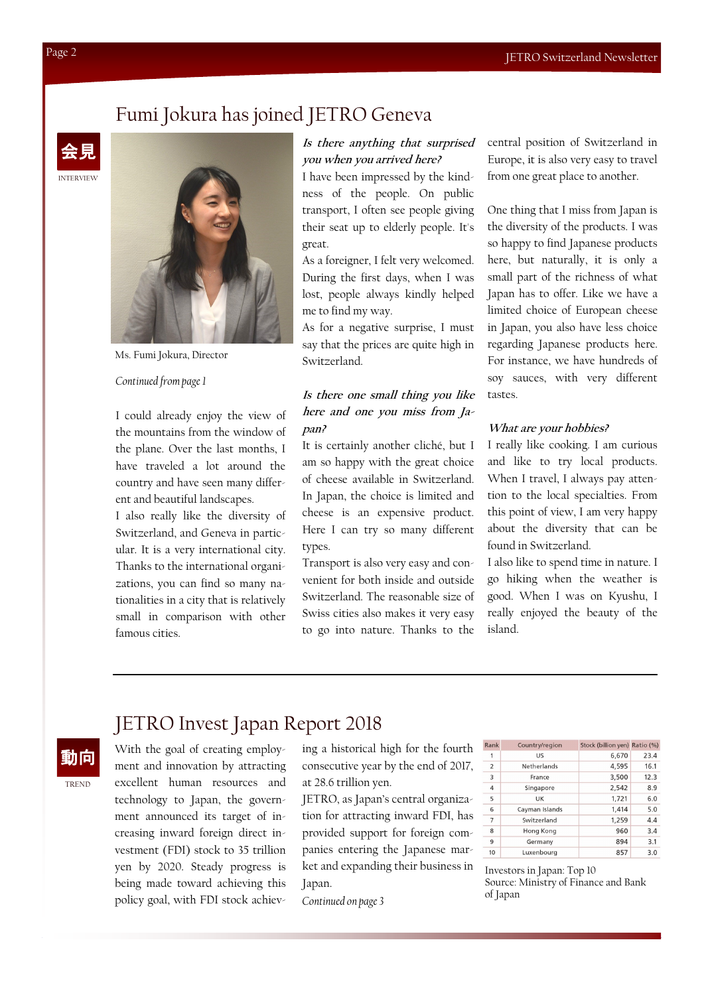### Fumi Jokura has joined JETRO Geneva





Ms. Fumi Jokura, Director

#### *Continued from page 1*

I could already enjoy the view of the mountains from the window of the plane. Over the last months, I have traveled a lot around the country and have seen many different and beautiful landscapes.

I also really like the diversity of Switzerland, and Geneva in particular. It is a very international city. Thanks to the international organizations, you can find so many nationalities in a city that is relatively small in comparison with other famous cities.

#### **Is there anything that surprised you when you arrived here?**

I have been impressed by the kindness of the people. On public transport, I often see people giving their seat up to elderly people. It's great.

As a foreigner, I felt very welcomed. During the first days, when I was lost, people always kindly helped me to find my way.

As for a negative surprise, I must say that the prices are quite high in Switzerland.

### **Is there one small thing you like here and one you miss from Japan?**

It is certainly another cliché, but I am so happy with the great choice of cheese available in Switzerland. In Japan, the choice is limited and cheese is an expensive product. Here I can try so many different types.

Transport is also very easy and convenient for both inside and outside Switzerland. The reasonable size of Swiss cities also makes it very easy to go into nature. Thanks to the

central position of Switzerland in Europe, it is also very easy to travel from one great place to another.

One thing that I miss from Japan is the diversity of the products. I was so happy to find Japanese products here, but naturally, it is only a small part of the richness of what Japan has to offer. Like we have a limited choice of European cheese in Japan, you also have less choice regarding Japanese products here. For instance, we have hundreds of soy sauces, with very different tastes.

#### **What are your hobbies?**

I really like cooking. I am curious and like to try local products. When I travel, I always pay attention to the local specialties. From this point of view, I am very happy about the diversity that can be found in Switzerland.

I also like to spend time in nature. I go hiking when the weather is good. When I was on Kyushu, I really enjoyed the beauty of the island.

### JETRO Invest Japan Report 2018

動向

TREND

With the goal of creating employment and innovation by attracting excellent human resources and technology to Japan, the government announced its target of increasing inward foreign direct investment (FDI) stock to 35 trillion yen by 2020. Steady progress is being made toward achieving this policy goal, with FDI stock achieving a historical high for the fourth consecutive year by the end of 2017, at 28.6 trillion yen.

JETRO, as Japan's central organization for attracting inward FDI, has provided support for foreign companies entering the Japanese market and expanding their business in Japan.

*Continued on page 3*

| Rank           | Country/region | Stock (billion yen) Ratio (%) |      |
|----------------|----------------|-------------------------------|------|
| 1              | US             | 6,670                         | 23.4 |
| 2              | Netherlands    | 4.595                         | 16.1 |
| 3              | France         | 3,500                         | 12.3 |
| $\overline{4}$ | Singapore      | 2,542                         | 8.9  |
| 5              | UK             | 1,721                         | 6.0  |
| 6              | Cayman Islands | 1,414                         | 5.0  |
| $\overline{7}$ | Switzerland    | 1,259                         | 4.4  |
| 8              | Hong Kong      | 960                           | 3.4  |
| 9              | Germany        | 894                           | 3.1  |
| 10             | Luxenbourg     | 857                           | 3.0  |

Investors in Japan: Top 10 Source: Ministry of Finance and Bank of Japan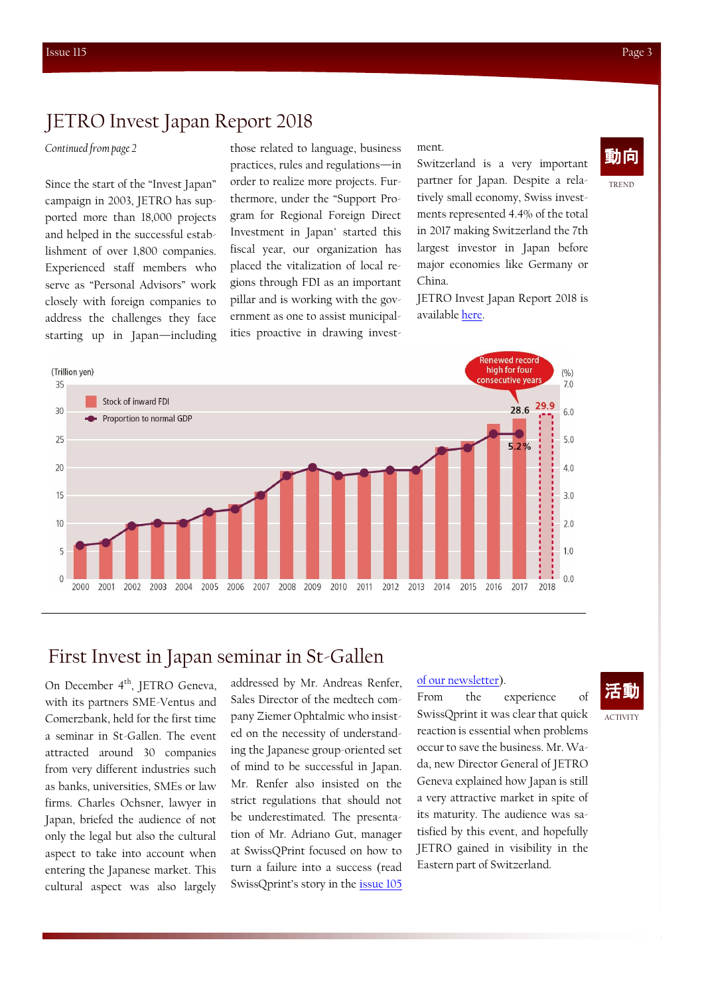### JETRO Invest Japan Report 2018

Since the start of the "Invest Japan" campaign in 2003, JETRO has supported more than 18,000 projects and helped in the successful establishment of over 1,800 companies. Experienced staff members who serve as "Personal Advisors" work closely with foreign companies to address the challenges they face starting up in Japan—including

Continued from page 2 **those related to language**, business ment. practices, rules and regulations—in order to realize more projects. Furthermore, under the "Support Program for Regional Foreign Direct Investment in Japan" started this fiscal year, our organization has placed the vitalization of local regions through FDI as an important pillar and is working with the government as one to assist municipalities proactive in drawing invest-

ment.

Switzerland is a very important partner for Japan. Despite a relatively small economy, Swiss investments represented 4.4% of the total in 2017 making Switzerland the 7th largest investor in Japan before major economies like Germany or China.

JETRO Invest Japan Report 2018 is available [here.](https://www.jetro.go.jp/en/news/releases/2018/87e53bcd0885d4ec.html)



### First Invest in Japan seminar in St-Gallen

On December 4<sup>th</sup>, JETRO Geneva, with its partners SME-Ventus and Comerzbank, held for the first time a seminar in St-Gallen. The event attracted around 30 companies from very different industries such as banks, universities, SMEs or law firms. Charles Ochsner, lawyer in Japan, briefed the audience of not only the legal but also the cultural aspect to take into account when entering the Japanese market. This cultural aspect was also largely

addressed by Mr. Andreas Renfer, Sales Director of the medtech company Ziemer Ophtalmic who insisted on the necessity of understanding the Japanese group-oriented set of mind to be successful in Japan. Mr. Renfer also insisted on the strict regulations that should not be underestimated. The presentation of Mr. Adriano Gut, manager at SwissQPrint focused on how to turn a failure into a success (read SwissQprint's story in the [issue 105](https://www.jetro.go.jp/ext_images/switzerland/newsletter/Newsletter_2018/newsletter105.pdf) 

#### [of our newsletter\).](https://www.jetro.go.jp/ext_images/switzerland/newsletter/Newsletter_2018/newsletter105.pdf)

From the experience of SwissQprint it was clear that quick reaction is essential when problems occur to save the business. Mr. Wada, new Director General of JETRO Geneva explained how Japan is still a very attractive market in spite of its maturity. The audience was satisfied by this event, and hopefully JETRO gained in visibility in the Eastern part of Switzerland.

TREND

ACTIVITY

活動